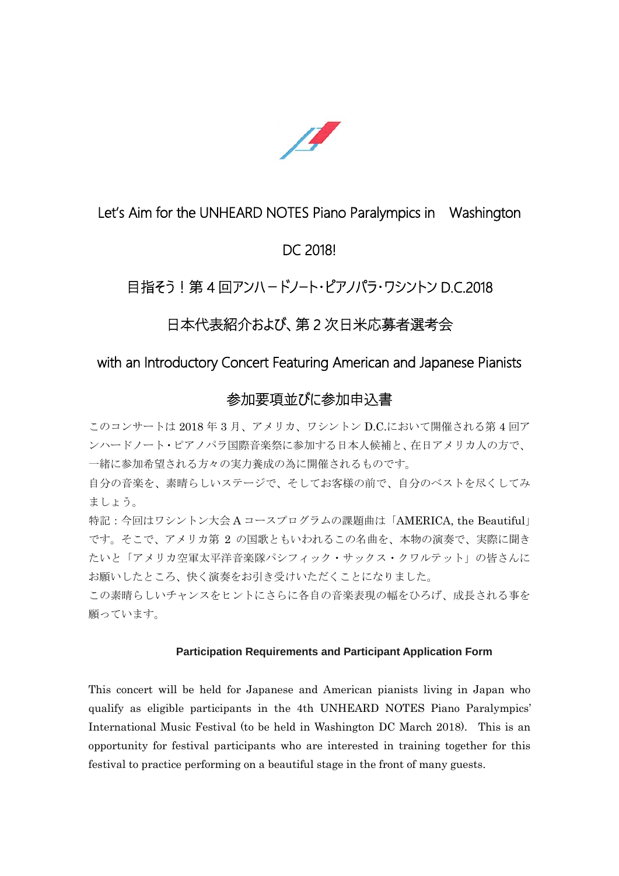

### Let's Aim for the UNHEARD NOTES Piano Paralympics in Washington

## DC 2018!

# 目指そう! 第 4 回アンハードノート・ピアノパラ・ワシントン D.C.2018

# 日本代表紹介および、第2次日米応募者選考会

#### with an Introductory Concert Featuring American and Japanese Pianists

### 参加要項並びに参加申込書

このコンサートは 2018 年 3 月、アメリカ、ワシントン D.C.において開催される第 4 回ア ンハードノート・ピアノパラ国際音楽祭に参加する日本人候補と、在日アメリカ人の方で、 一緒に参加希望される方々の実力養成の為に開催されるものです。

自分の音楽を、素晴らしいステージで、そしてお客様の前で、自分のベストを尽くしてみ ましょう。

特記:今回はワシントン大会Aコースプログラムの課題曲は「AMERICA, the Beautiful」 です。そこで、アメリカ第 2 の国歌ともいわれるこの名曲を、本物の演奏で、実際に聞き たいと「アメリカ空軍太平洋音楽隊パシフィック・サックス・クワルテット」の皆さんに お願いしたところ、快く演奏をお引き受けいただくことになりました。

この素晴らしいチャンスをヒントにさらに各自の音楽表現の幅をひろげ、成長される事を 願っています。

#### **Participation Requirements and Participant Application Form**

This concert will be held for Japanese and American pianists living in Japan who qualify as eligible participants in the 4th UNHEARD NOTES Piano Paralympics' International Music Festival (to be held in Washington DC March 2018). This is an opportunity for festival participants who are interested in training together for this festival to practice performing on a beautiful stage in the front of many guests.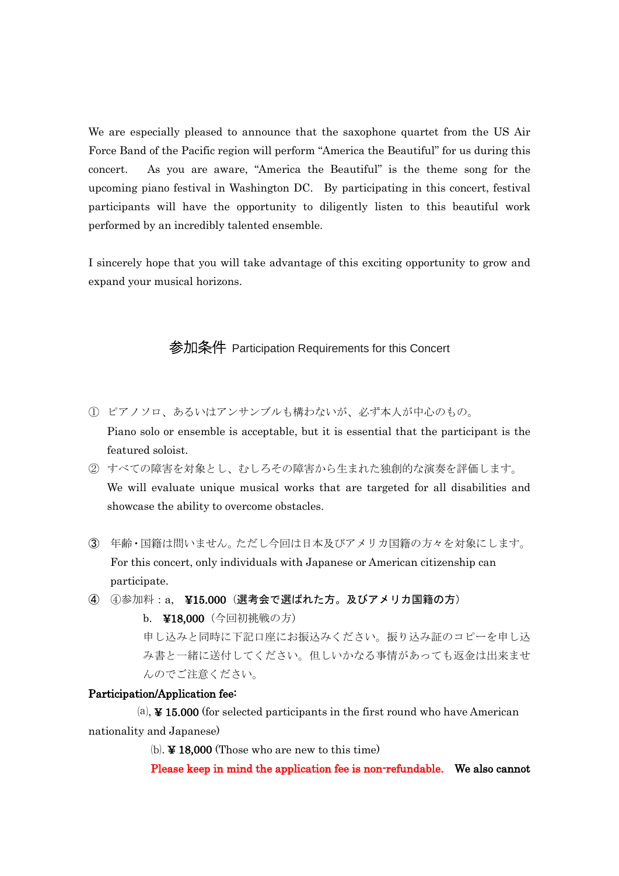We are especially pleased to announce that the saxophone quartet from the US Air Force Band of the Pacific region will perform "America the Beautiful" for us during this concert. As you are aware, "America the Beautiful" is the theme song for the upcoming piano festival in Washington DC. By participating in this concert, festival participants will have the opportunity to diligently listen to this beautiful work performed by an incredibly talented ensemble.

I sincerely hope that you will take advantage of this exciting opportunity to grow and expand your musical horizons.

参加条件 Participation Requirements for this Concert

- ① ピアノソロ、あるいはアンサンブルも構わないが、必ず本人が中心のもの。 Piano solo or ensemble is acceptable, but it is essential that the participant is the featured soloist.
- ② すべての障害を対象とし、むしろその障害から生まれた独創的な演奏を評価します。 We will evaluate unique musical works that are targeted for all disabilities and showcase the ability to overcome obstacles.
- ③ 年齢・国籍は問いません。ただし今回は日本及びアメリカ国籍の方々を対象にします。 For this concert, only individuals with Japanese or American citizenship can participate.
- ④ ④参加料:a, ¥15.000(選考会で選ばれた方。及びアメリカ国籍の方)

b. ¥18,000(今回初挑戦の方) 申し込みと同時に下記口座にお振込みください。振り込み証のコピーを申し込 み書と一緒に送付してください。但しいかなる事情があっても返金は出来ませ んのでご注意ください。

#### Participation/Application fee:

 $(a)$ ,  $\angle$  15.000 (for selected participants in the first round who have American nationality and Japanese)

⒝. ¥ 18,000 (Those who are new to this time)

Please keep in mind the application fee is non-refundable. We also cannot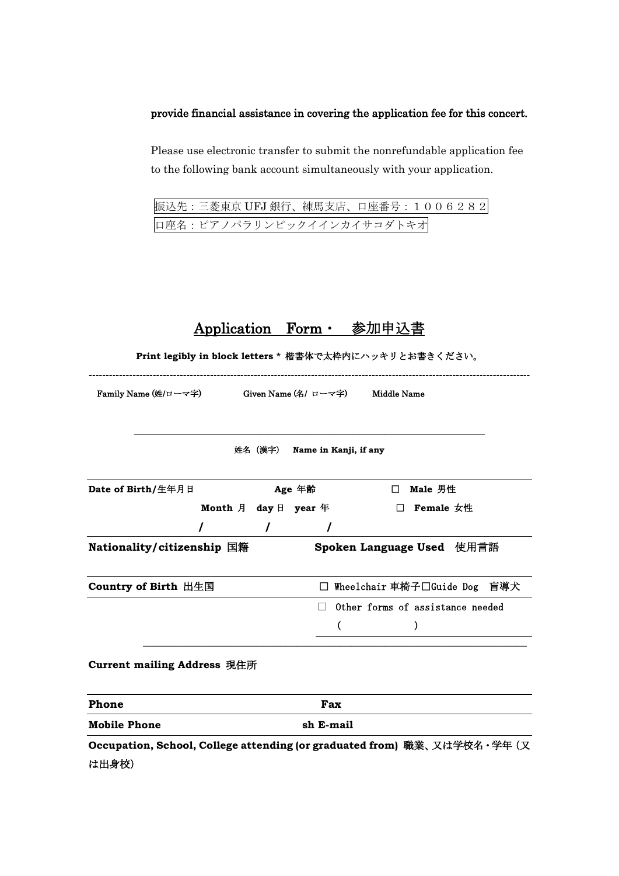#### provide financial assistance in covering the application fee for this concert.

Please use electronic transfer to submit the nonrefundable application fee to the following bank account simultaneously with your application.

振込先:三菱東京 UFJ 銀行、練馬支店、口座番号:1006282 口座名:ピアノパラリンピックイインカイサコダトキオ

|                                                               |            |                               | Application Form・ 参加申込書 |                                  |  |  |  |  |  |  |
|---------------------------------------------------------------|------------|-------------------------------|-------------------------|----------------------------------|--|--|--|--|--|--|
| Print legibly in block letters * 楷書体で太枠内にハッキリとお書きください。        |            |                               |                         |                                  |  |  |  |  |  |  |
| Family Name (姓/ローマ字)      Given Name (名/ ローマ字)    Middle Name |            |                               |                         |                                  |  |  |  |  |  |  |
|                                                               |            |                               |                         |                                  |  |  |  |  |  |  |
|                                                               |            | 姓名 (漢字) Name in Kanji, if any |                         |                                  |  |  |  |  |  |  |
| Date of Birth/生年月日                                            |            | Age 年齢                        |                         | □ Male 男性                        |  |  |  |  |  |  |
|                                                               |            | Month 月 day 日 year 年          |                         | $\Box$ Female 女性                 |  |  |  |  |  |  |
|                                                               | $\sqrt{2}$ |                               |                         |                                  |  |  |  |  |  |  |
| Nationality/citizenship 国籍                                    |            |                               |                         | Spoken Language Used 使用言語        |  |  |  |  |  |  |
| Country of Birth 出生国                                          |            |                               |                         | □ Wheelchair 車椅子□Guide Dog 盲導犬   |  |  |  |  |  |  |
|                                                               |            |                               |                         | Other forms of assistance needed |  |  |  |  |  |  |
|                                                               |            | €                             |                         |                                  |  |  |  |  |  |  |
| <b>Current mailing Address 現住所</b>                            |            |                               |                         |                                  |  |  |  |  |  |  |

| Phone               | Fax       |
|---------------------|-----------|
| <b>Mobile Phone</b> | sh E-mail |

**Occupation, School, College attending (or graduated from)** 職業、又は学校名・学年(又 は出身校)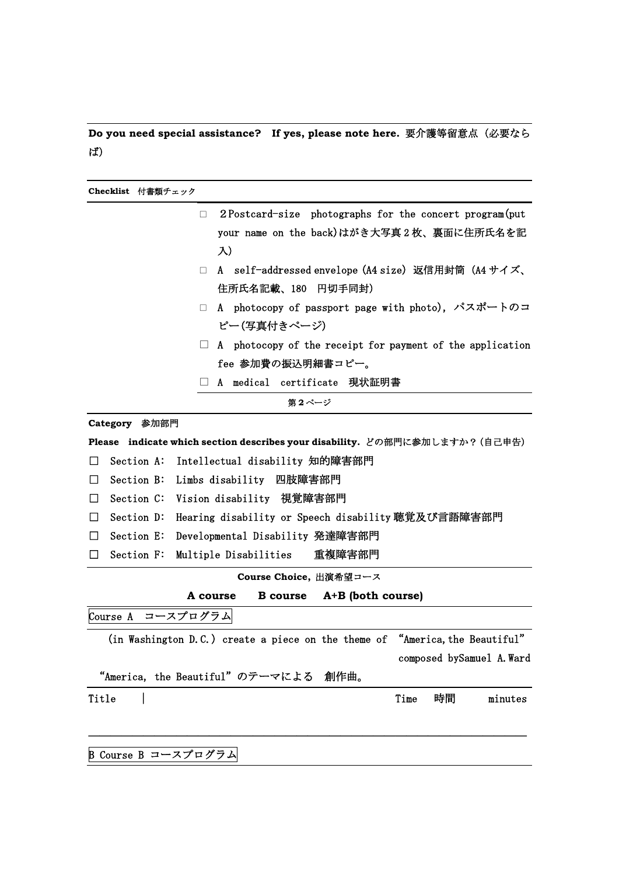**Do you need special assistance? If yes, please note here. 要介護等留意点 (必要なら** ば)

**Checklist** 付書類チェック □ 2Postcard-size photographs for the concert program(put your name on the back)はがき大写真2枚、裏面に住所氏名を記 入) □ A self-addressed envelope (A4 size) 返信用封筒 (A4 サイズ、 住所氏名記載、180 円切手同封) □ A photocopy of passport page with photo), パスポートのコ ピー(写真付きページ)  $\Box$  A photocopy of the receipt for payment of the application fee 参加費の振込明細書コピー。 □ A medical certificate 現状証明書 第 **2** ページ **Category** 参加部門 **Please indicate which section describes your disability.** どの部門に参加しますか?(自己申告) □ Section A: Intellectual disability 知的障害部門 □ Section B: Limbs disability 四肢障害部門 □ Section C: Vision disability 視覚障害部門 □ Section D: Hearing disability or Speech disability 聴覚及び言語障害部門 □ Section E: Developmental Disability 発達障害部門 □ Section F: Multiple Disabilities 重複障害部門 **Course Choice,** 出演希望コース **A course B course A+B (both course)** Course A コースプログラム (in Washington D.C.) create a piece on the theme of "America, the Beautiful" composed bySamuel A.Ward "America, the Beautiful"のテーマによる 創作曲。 Title | Time 時間 minutes

――――――――――――――――――――――――――――――――――――――――

B Course B コースプログラム